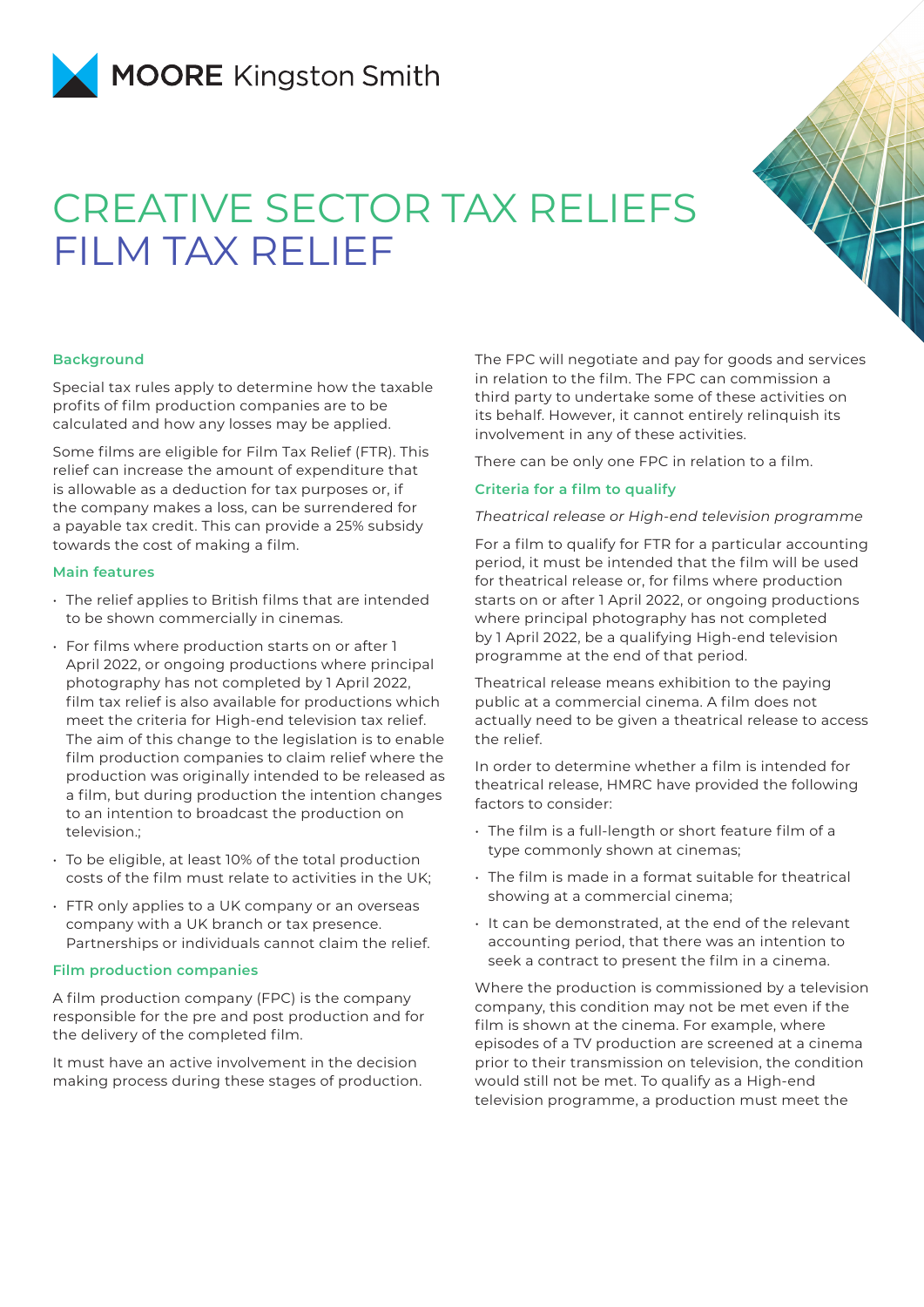

# CREATIVE SECTOR TAX RELIEFS FILM TAX RELIEF



#### **Background**

Special tax rules apply to determine how the taxable profits of film production companies are to be calculated and how any losses may be applied.

Some films are eligible for Film Tax Relief (FTR). This relief can increase the amount of expenditure that is allowable as a deduction for tax purposes or, if the company makes a loss, can be surrendered for a payable tax credit. This can provide a 25% subsidy towards the cost of making a film.

### **Main features**

- The relief applies to British films that are intended to be shown commercially in cinemas.
- For films where production starts on or after 1 April 2022, or ongoing productions where principal photography has not completed by 1 April 2022, film tax relief is also available for productions which meet the criteria for High-end television tax relief. The aim of this change to the legislation is to enable film production companies to claim relief where the production was originally intended to be released as a film, but during production the intention changes to an intention to broadcast the production on television.;
- To be eligible, at least 10% of the total production costs of the film must relate to activities in the UK;
- FTR only applies to a UK company or an overseas company with a UK branch or tax presence. Partnerships or individuals cannot claim the relief.

### **Film production companies**

A film production company (FPC) is the company responsible for the pre and post production and for the delivery of the completed film.

It must have an active involvement in the decision making process during these stages of production. The FPC will negotiate and pay for goods and services in relation to the film. The FPC can commission a third party to undertake some of these activities on its behalf. However, it cannot entirely relinquish its involvement in any of these activities.

There can be only one FPC in relation to a film.

# **Criteria for a film to qualify**

### *Theatrical release or High-end television programme*

For a film to qualify for FTR for a particular accounting period, it must be intended that the film will be used for theatrical release or, for films where production starts on or after 1 April 2022, or ongoing productions where principal photography has not completed by 1 April 2022, be a qualifying High-end television programme at the end of that period.

Theatrical release means exhibition to the paying public at a commercial cinema. A film does not actually need to be given a theatrical release to access the relief.

In order to determine whether a film is intended for theatrical release, HMRC have provided the following factors to consider:

- The film is a full-length or short feature film of a type commonly shown at cinemas;
- The film is made in a format suitable for theatrical showing at a commercial cinema;
- It can be demonstrated, at the end of the relevant accounting period, that there was an intention to seek a contract to present the film in a cinema.

Where the production is commissioned by a television company, this condition may not be met even if the film is shown at the cinema. For example, where episodes of a TV production are screened at a cinema prior to their transmission on television, the condition would still not be met. To qualify as a High-end television programme, a production must meet the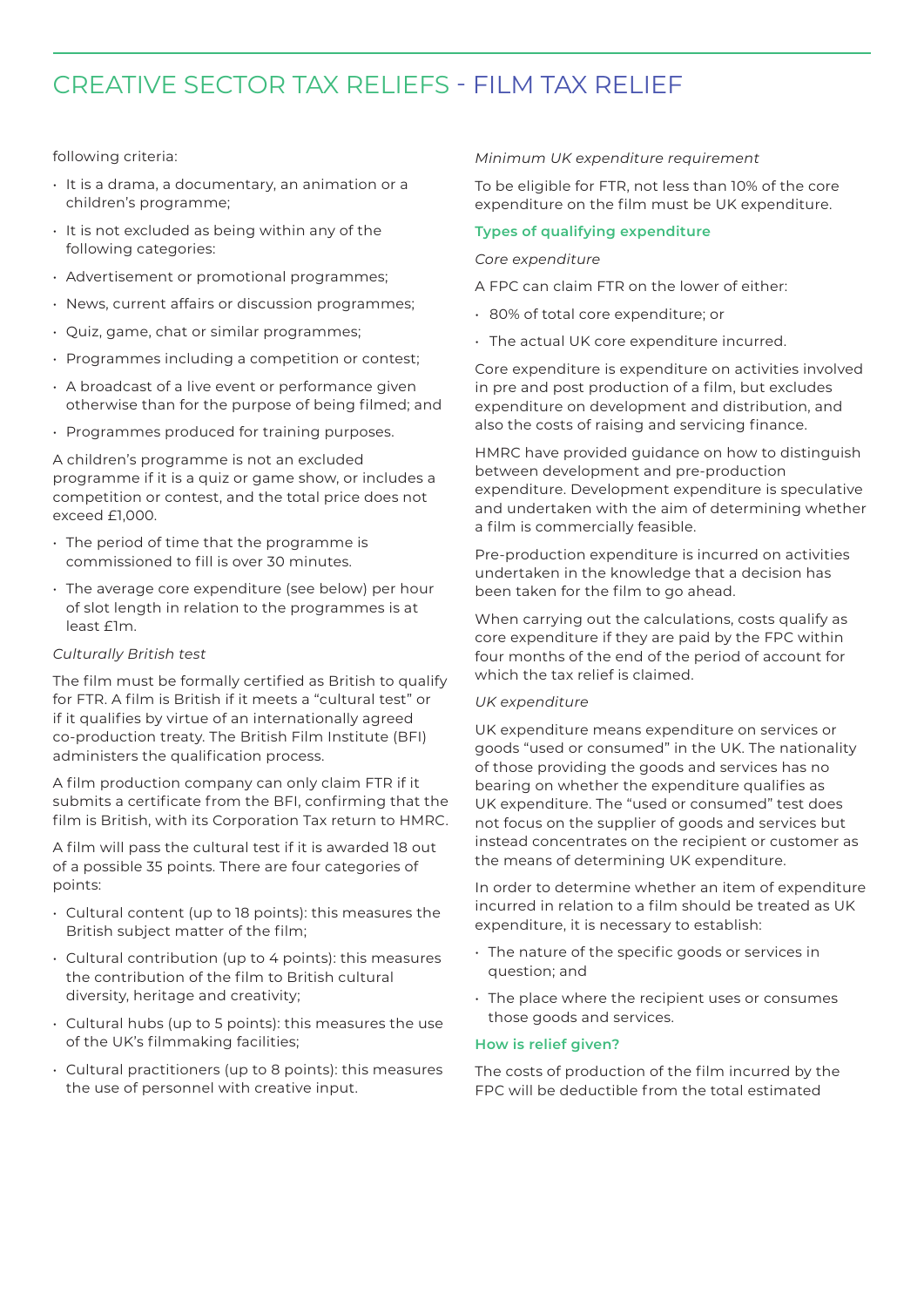# CREATIVE SECTOR TAX RELIEFS - FILM TAX RELIEF

# following criteria:

- It is a drama, a documentary, an animation or a children's programme;
- It is not excluded as being within any of the following categories:
- Advertisement or promotional programmes;
- News, current affairs or discussion programmes;
- Quiz, game, chat or similar programmes;
- Programmes including a competition or contest;
- A broadcast of a live event or performance given otherwise than for the purpose of being filmed; and
- Programmes produced for training purposes.

A children's programme is not an excluded programme if it is a quiz or game show, or includes a competition or contest, and the total price does not exceed £1,000.

- The period of time that the programme is commissioned to fill is over 30 minutes.
- The average core expenditure (see below) per hour of slot length in relation to the programmes is at least £1m.

# *Culturally British test*

The film must be formally certified as British to qualify for FTR. A film is British if it meets a "cultural test" or if it qualifies by virtue of an internationally agreed co-production treaty. The British Film Institute (BFI) administers the qualification process.

A film production company can only claim FTR if it submits a certificate from the BFI, confirming that the film is British, with its Corporation Tax return to HMRC.

A film will pass the cultural test if it is awarded 18 out of a possible 35 points. There are four categories of points:

- Cultural content (up to 18 points): this measures the British subject matter of the film;
- Cultural contribution (up to 4 points): this measures the contribution of the film to British cultural diversity, heritage and creativity;
- Cultural hubs (up to 5 points): this measures the use of the UK's filmmaking facilities;
- Cultural practitioners (up to 8 points): this measures the use of personnel with creative input.

# *Minimum UK expenditure requirement*

To be eligible for FTR, not less than 10% of the core expenditure on the film must be UK expenditure.

# **Types of qualifying expenditure**

# *Core expenditure*

A FPC can claim FTR on the lower of either:

- 80% of total core expenditure; or
- The actual UK core expenditure incurred.

Core expenditure is expenditure on activities involved in pre and post production of a film, but excludes expenditure on development and distribution, and also the costs of raising and servicing finance.

HMRC have provided guidance on how to distinguish between development and pre-production expenditure. Development expenditure is speculative and undertaken with the aim of determining whether a film is commercially feasible.

Pre-production expenditure is incurred on activities undertaken in the knowledge that a decision has been taken for the film to go ahead.

When carrying out the calculations, costs qualify as core expenditure if they are paid by the FPC within four months of the end of the period of account for which the tax relief is claimed.

# *UK expenditure*

UK expenditure means expenditure on services or goods "used or consumed" in the UK. The nationality of those providing the goods and services has no bearing on whether the expenditure qualifies as UK expenditure. The "used or consumed" test does not focus on the supplier of goods and services but instead concentrates on the recipient or customer as the means of determining UK expenditure.

In order to determine whether an item of expenditure incurred in relation to a film should be treated as UK expenditure, it is necessary to establish:

- The nature of the specific goods or services in question; and
- The place where the recipient uses or consumes those goods and services.

# **How is relief given?**

The costs of production of the film incurred by the FPC will be deductible from the total estimated